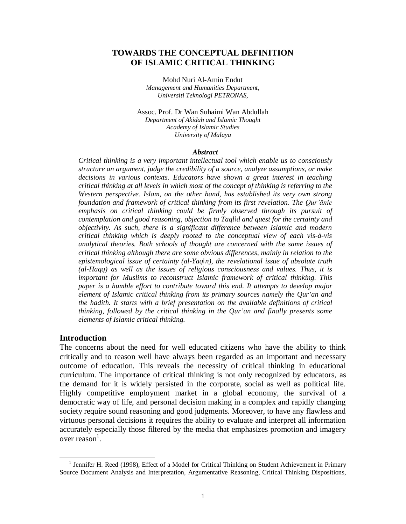# **TOWARDS THE CONCEPTUAL DEFINITION OF ISLAMIC CRITICAL THINKING**

Mohd Nuri Al-Amin Endut *Management and Humanities Department, Universiti Teknologi PETRONAS,*

Assoc. Prof. Dr Wan Suhaimi Wan Abdullah *Department of Akidah and Islamic Thought Academy of Islamic Studies University of Malaya*

#### *Abstract*

*Critical thinking is a very important intellectual tool which enable us to consciously structure an argument, judge the credibility of a source, analyze assumptions, or make decisions in various contexts. Educators have shown a great interest in teaching critical thinking at all levels in which most of the concept of thinking is referring to the Western perspective. Islam, on the other hand, has established its very own strong foundation and framework of critical thinking from its first revelation. The Qur'ānic emphasis on critical thinking could be firmly observed through its pursuit of contemplation and good reasoning, objection to Taqlid and quest for the certainty and objectivity. As such, there is a significant difference between Islamic and modern critical thinking which is deeply rooted to the conceptual view of each vis-à-vis analytical theories. Both schools of thought are concerned with the same issues of critical thinking although there are some obvious differences, mainly in relation to the epistemological issue of certainty (al-Yaqin), the revelational issue of absolute truth (al-Haqq) as well as the issues of religious consciousness and values. Thus, it is important for Muslims to reconstruct Islamic framework of critical thinking. This paper is a humble effort to contribute toward this end. It attempts to develop major element of Islamic critical thinking from its primary sources namely the Qur'an and the hadith. It starts with a brief presentation on the available definitions of critical thinking, followed by the critical thinking in the Qur'an and finally presents some elements of Islamic critical thinking.*

### **Introduction**

 $\overline{a}$ 

The concerns about the need for well educated citizens who have the ability to think critically and to reason well have always been regarded as an important and necessary outcome of education. This reveals the necessity of critical thinking in educational curriculum. The importance of critical thinking is not only recognized by educators, as the demand for it is widely persisted in the corporate, social as well as political life. Highly competitive employment market in a global economy, the survival of a democratic way of life, and personal decision making in a complex and rapidly changing society require sound reasoning and good judgments. Moreover, to have any flawless and virtuous personal decisions it requires the ability to evaluate and interpret all information accurately especially those filtered by the media that emphasizes promotion and imagery over reason<sup>1</sup>.

<sup>&</sup>lt;sup>1</sup> Jennifer H. Reed (1998), Effect of a Model for Critical Thinking on Student Achievement in Primary Source Document Analysis and Interpretation, Argumentative Reasoning, Critical Thinking Dispositions,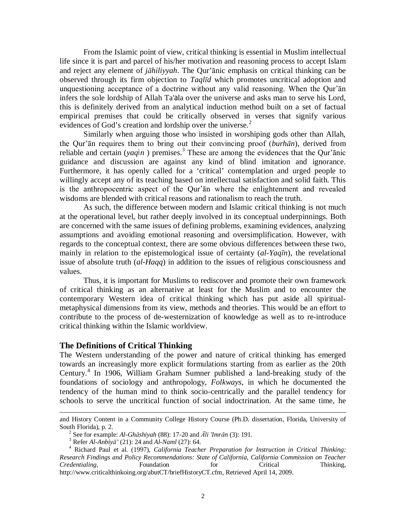From the Islamic point of view, critical thinking is essential in Muslim intellectual life since it is part and parcel of his/her motivation and reasoning process to accept Islam and reject any element of *jāhiliyyah*. The Qur'ānic emphasis on critical thinking can be observed through its firm objection to *Taqlīd* which promotes uncritical adoption and unquestioning acceptance of a doctrine without any valid reasoning. When the Qur'ān infers the sole lordship of Allah Ta'ala over the universe and asks man to serve his Lord, this is definitely derived from an analytical induction method built on a set of factual empirical premises that could be critically observed in verses that signify various evidences of God's creation and lordship over the universe.<sup>2</sup>

Similarly when arguing those who insisted in worshiping gods other than Allah, the Qur'ān requires them to bring out their convincing proof (*burhān*), derived from reliable and certain ( $yaq\dot{m}$ ) premises.<sup>3</sup> These are among the evidences that the Qur'anic guidance and discussion are against any kind of blind imitation and ignorance. Furthermore, it has openly called for a 'critical' contemplation and urged people to willingly accept any of its teaching based on intellectual satisfaction and solid faith. This is the anthropocentric aspect of the Qur'ān where the enlightenment and revealed wisdoms are blended with critical reasons and rationalism to reach the truth.

As such, the difference between modern and Islamic critical thinking is not much at the operational level, but rather deeply involved in its conceptual underpinnings. Both are concerned with the same issues of defining problems, examining evidences, analyzing assumptions and avoiding emotional reasoning and oversimplification. However, with regards to the conceptual context, there are some obvious differences between these two, mainly in relation to the epistemological issue of certainty (*al-Yaqīn*), the revelational issue of absolute truth (*al-Haqq*) in addition to the issues of religious consciousness and values.

Thus, it is important for Muslims to rediscover and promote their own framework of critical thinking as an alternative at least for the Muslim and to encounter the contemporary Western idea of critical thinking which has put aside all spiritualmetaphysical dimensions from its view, methods and theories. This would be an effort to contribute to the process of de-westernization of knowledge as well as to re-introduce critical thinking within the Islamic worldview.

#### **The Definitions of Critical Thinking**

 $\overline{a}$ 

The Western understanding of the power and nature of critical thinking has emerged towards an increasingly more explicit formulations starting from as earlier as the 20th Century.<sup>4</sup> In 1906, William Graham Sumner published a land-breaking study of the foundations of sociology and anthropology, *Folkways*, in which he documented the tendency of the human mind to think socio-centrically and the parallel tendency for schools to serve the uncritical function of social indoctrination. At the same time, he

and History Content in a Community College History Course (Ph.D. dissertation, Florida, University of South Florida), p. 2.

<sup>2</sup> See for example: *Al-Ghāshiyah* (88): 17-20 and *Āli 'Imrān* (3): 191.

<sup>3</sup> Refer *Al-Anbiyā'* (21): 24 and *Al-Naml* (27): 64.

<sup>4</sup> Richard Paul et al. (1997), *California Teacher Preparation for Instruction in Critical Thinking: Research Findings and Policy Recommendations: State of California, California Commission on Teacher Credentialing*, Foundation **Franchille Foundation** for Critical Thinking, http://www.criticalthinkoing.org/abutCT/briefHistoryCT.cfm, Retrieved April 14, 2009.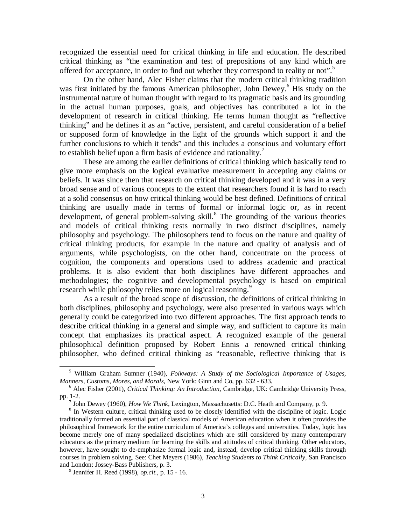recognized the essential need for critical thinking in life and education. He described critical thinking as "the examination and test of prepositions of any kind which are offered for acceptance, in order to find out whether they correspond to reality or not".<sup>5</sup>

On the other hand, Alec Fisher claims that the modern critical thinking tradition was first initiated by the famous American philosopher, John Dewey.<sup>6</sup> His study on the instrumental nature of human thought with regard to its pragmatic basis and its grounding in the actual human purposes, goals, and objectives has contributed a lot in the development of research in critical thinking. He terms human thought as "reflective thinking" and he defines it as an "active, persistent, and careful consideration of a belief or supposed form of knowledge in the light of the grounds which support it and the further conclusions to which it tends" and this includes a conscious and voluntary effort to establish belief upon a firm basis of evidence and rationality.<sup>7</sup>

These are among the earlier definitions of critical thinking which basically tend to give more emphasis on the logical evaluative measurement in accepting any claims or beliefs. It was since then that research on critical thinking developed and it was in a very broad sense and of various concepts to the extent that researchers found it is hard to reach at a solid consensus on how critical thinking would be best defined. Definitions of critical thinking are usually made in terms of formal or informal logic or, as in recent development, of general problem-solving skill.<sup>8</sup> The grounding of the various theories and models of critical thinking rests normally in two distinct disciplines, namely philosophy and psychology. The philosophers tend to focus on the nature and quality of critical thinking products, for example in the nature and quality of analysis and of arguments, while psychologists, on the other hand, concentrate on the process of cognition, the components and operations used to address academic and practical problems. It is also evident that both disciplines have different approaches and methodologies; the cognitive and developmental psychology is based on empirical research while philosophy relies more on logical reasoning.<sup>9</sup>

As a result of the broad scope of discussion, the definitions of critical thinking in both disciplines, philosophy and psychology, were also presented in various ways which generally could be categorized into two different approaches. The first approach tends to describe critical thinking in a general and simple way, and sufficient to capture its main concept that emphasizes its practical aspect. A recognized example of the general philosophical definition proposed by Robert Ennis a renowned critical thinking philosopher, who defined critical thinking as "reasonable, reflective thinking that is

<sup>5</sup> William Graham Sumner (1940), *Folkways: A Study of the Sociological Importance of Usages, Manners, Customs, Mores, and Morals*, New York: Ginn and Co, pp. 632 - 633.

<sup>6</sup> Alec Fisher (2001), *Critical Thinking: An Introduction,* Cambridge, UK: Cambridge University Press, pp. 1-2.

<sup>7</sup> John Dewey (1960), *How We Think*, Lexington, Massachusetts: D.C. Heath and Company, p. 9.

<sup>&</sup>lt;sup>8</sup> In Western culture, critical thinking used to be closely identified with the discipline of logic. Logic traditionally formed an essential part of classical models of American education when it often provides the philosophical framework for the entire curriculum of America's colleges and universities. Today, logic has become merely one of many specialized disciplines which are still considered by many contemporary educators as the primary medium for learning the skills and attitudes of critical thinking. Other educators, however, have sought to de-emphasize formal logic and, instead, develop critical thinking skills through courses in problem solving. See: Chet Meyers (1986), *Teaching Students to Think Critically*, San Francisco and London: Jossey-Bass Publishers, p. 3.

<sup>9</sup> Jennifer H. Reed (1998), *op.cit.*, p. 15 - 16.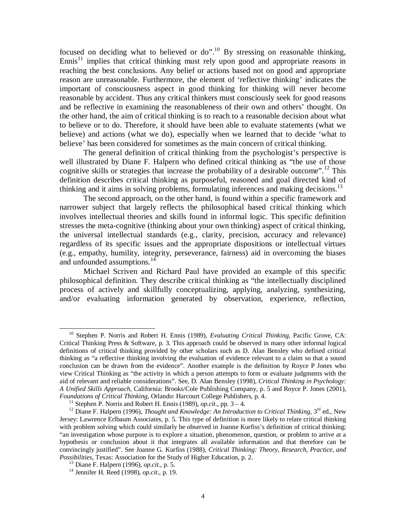focused on deciding what to believed or do".<sup>10</sup> By stressing on reasonable thinking, Ennis<sup>11</sup> implies that critical thinking must rely upon good and appropriate reasons in reaching the best conclusions. Any belief or actions based not on good and appropriate reason are unreasonable. Furthermore, the element of 'reflective thinking' indicates the important of consciousness aspect in good thinking for thinking will never become reasonable by accident. Thus any critical thinkers must consciously seek for good reasons and be reflective in examining the reasonableness of their own and others' thought. On the other hand, the aim of critical thinking is to reach to a reasonable decision about what to believe or to do. Therefore, it should have been able to evaluate statements (what we believe) and actions (what we do), especially when we learned that to decide 'what to believe' has been considered for sometimes as the main concern of critical thinking.

The general definition of critical thinking from the psychologist's perspective is well illustrated by Diane F. Halpern who defined critical thinking as "the use of those cognitive skills or strategies that increase the probability of a desirable outcome".<sup>12</sup> This definition describes critical thinking as purposeful, reasoned and goal directed kind of thinking and it aims in solving problems, formulating inferences and making decisions.<sup>13</sup>

The second approach, on the other hand, is found within a specific framework and narrower subject that largely reflects the philosophical based critical thinking which involves intellectual theories and skills found in informal logic. This specific definition stresses the meta-cognitive (thinking about your own thinking) aspect of critical thinking, the universal intellectual standards (e.g., clarity, precision, accuracy and relevance) regardless of its specific issues and the appropriate dispositions or intellectual virtues (e.g., empathy, humility, integrity, perseverance, fairness) aid in overcoming the biases and unfounded assumptions.<sup>14</sup>

Michael Scriven and Richard Paul have provided an example of this specific philosophical definition. They describe critical thinking as "the intellectually disciplined process of actively and skillfully conceptualizing, applying, analyzing, synthesizing, and/or evaluating information generated by observation, experience, reflection,

<sup>10</sup> Stephen P. Norris and Robert H. Ennis (1989), *Evaluating Critical Thinking*, Pacific Grove, CA: Critical Thinking Press & Software, p. 3. This approach could be observed in many other informal logical definitions of critical thinking provided by other scholars such as D. Alan Bensley who defined critical thinking as "a reflective thinking involving the evaluation of evidence relevant to a claim so that a sound conclusion can be drawn from the evidence". Another example is the definition by Royce P Jones who view Critical Thinking as "the activity in which a person attempts to form or evaluate judgments with the aid of relevant and reliable considerations". See, D. Alan Bensley (1998), *Critical Thinking in Psychology: A Unified Skills Approach*, California: Brooks/Cole Publishing Company, p. 5 and Royce P. Jones (2001), *Foundations of Critical Thinking*, Orlando: Harcourt College Publishers, p. 4.

<sup>&</sup>lt;sup>11</sup> Stephen P. Norris and Robert H. Ennis (1989), *op.cit.*, pp.  $3 - 4$ .

<sup>&</sup>lt;sup>12</sup> Diane F. Halpern (1996), *Thought and Knowledge: An Introduction to Critical Thinking*, 3<sup>rd</sup> ed., New Jersey: Lawrence Erlbaum Associates, p. 5. This type of definition is more likely to relate critical thinking with problem solving which could similarly be observed in Joanne Kurfiss's definition of critical thinking; "an investigation whose purpose is to explore a situation, phenomenon, question, or problem to arrive at a hypothesis or conclusion about it that integrates all available information and that therefore can be convincingly justified". See Joanne G. Kurfiss (1988), *Critical Thinking: Theory, Research, Practice, and Possibilities*, Texas: Association for the Study of Higher Education, p. 2.

<sup>13</sup> Diane F. Halpern (1996), *op.cit*., p. 5.

<sup>14</sup> Jennifer H. Reed (1998), *op.cit*., p. 19.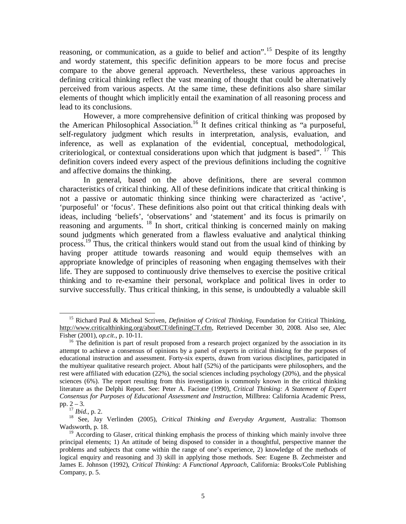reasoning, or communication, as a guide to belief and action".<sup>15</sup> Despite of its lengthy and wordy statement, this specific definition appears to be more focus and precise compare to the above general approach. Nevertheless, these various approaches in defining critical thinking reflect the vast meaning of thought that could be alternatively perceived from various aspects. At the same time, these definitions also share similar elements of thought which implicitly entail the examination of all reasoning process and lead to its conclusions.

However, a more comprehensive definition of critical thinking was proposed by the American Philosophical Association.<sup>16</sup> It defines critical thinking as "a purposeful, self-regulatory judgment which results in interpretation, analysis, evaluation, and inference, as well as explanation of the evidential, conceptual, methodological, criteriological, or contextual considerations upon which that judgment is based".  $17$  This definition covers indeed every aspect of the previous definitions including the cognitive and affective domains the thinking.

In general, based on the above definitions, there are several common characteristics of critical thinking. All of these definitions indicate that critical thinking is not a passive or automatic thinking since thinking were characterized as 'active', 'purposeful' or 'focus'. These definitions also point out that critical thinking deals with ideas, including 'beliefs', 'observations' and 'statement' and its focus is primarily on reasoning and arguments.<sup>18</sup> In short, critical thinking is concerned mainly on making sound judgments which generated from a flawless evaluative and analytical thinking process.<sup>19</sup> Thus, the critical thinkers would stand out from the usual kind of thinking by having proper attitude towards reasoning and would equip themselves with an appropriate knowledge of principles of reasoning when engaging themselves with their life. They are supposed to continuously drive themselves to exercise the positive critical thinking and to re-examine their personal, workplace and political lives in order to survive successfully. Thus critical thinking, in this sense, is undoubtedly a valuable skill

 $\overline{a}$ <sup>15</sup> Richard Paul & Micheal Scriven, *Definition of Critical Thinking*, Foundation for Critical Thinking, http://www.criticalthinking.org/aboutCT/definingCT.cfm, Retrieved December 30, 2008. Also see, Alec Fisher (2001), *op.cit*., p. 10-11.

 $16$  The definition is part of result proposed from a research project organized by the association in its attempt to achieve a consensus of opinions by a panel of experts in critical thinking for the purposes of educational instruction and assessment. Forty-six experts, drawn from various disciplines, participated in the multiyear qualitative research project. About half (52%) of the participants were philosophers, and the rest were affiliated with education (22%), the social sciences including psychology (20%), and the physical sciences (6%). The report resulting from this investigation is commonly known in the critical thinking literature as the Delphi Report. See: Peter A. Facione (1990), *Critical Thinking: A Statement of Expert Consensus for Purposes of Educational Assessment and Instruction*, Millbrea: California Academic Press, pp. 2 – 3.

<sup>17</sup> *Ibid*., p. 2.

<sup>18</sup> See, Jay Verlinden (2005), *Critical Thinking and Everyday Argument*, Australia: Thomson Wadsworth, p. 18.

 $19$  According to Glaser, critical thinking emphasis the process of thinking which mainly involve three principal elements; 1) An attitude of being disposed to consider in a thoughtful, perspective manner the problems and subjects that come within the range of one's experience, 2) knowledge of the methods of logical enquiry and reasoning and 3) skill in applying those methods. See: Eugene B. Zechmeister and James E. Johnson (1992), *Critical Thinking: A Functional Approach*, California: Brooks/Cole Publishing Company, p. 5.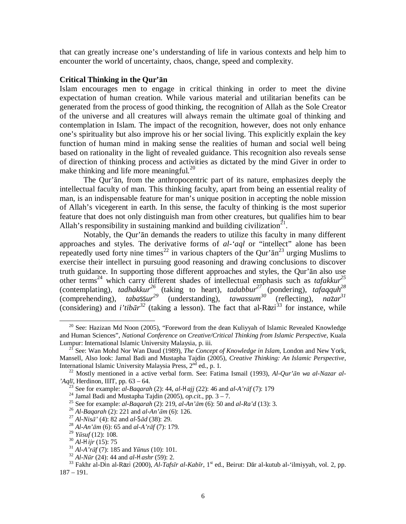that can greatly increase one's understanding of life in various contexts and help him to encounter the world of uncertainty, chaos, change, speed and complexity.

## **Critical Thinking in the Qur'ān**

Islam encourages men to engage in critical thinking in order to meet the divine expectation of human creation. While various material and utilitarian benefits can be generated from the process of good thinking, the recognition of Allah as the Sole Creator of the universe and all creatures will always remain the ultimate goal of thinking and contemplation in Islam. The impact of the recognition, however, does not only enhance one's spirituality but also improve his or her social living. This explicitly explain the key function of human mind in making sense the realities of human and social well being based on rationality in the light of revealed guidance. This recognition also reveals sense of direction of thinking process and activities as dictated by the mind Giver in order to make thinking and life more meaningful. $^{20}$ 

The Qur'ān, from the anthropocentric part of its nature, emphasizes deeply the intellectual faculty of man. This thinking faculty, apart from being an essential reality of man, is an indispensable feature for man's unique position in accepting the noble mission of Allah's vicegerent in earth. In this sense, the faculty of thinking is the most superior feature that does not only distinguish man from other creatures, but qualifies him to bear Allah's responsibility in sustaining mankind and building civilization $^{21}$ .

Notably, the Qur'ān demands the readers to utilize this faculty in many different approaches and styles. The derivative forms of *al-'aql* or "intellect" alone has been repeatedly used forty nine times<sup>22</sup> in various chapters of the Qur' $\bar{a}n^{23}$  urging Muslims to exercise their intellect in pursuing good reasoning and drawing conclusions to discover truth guidance. In supporting those different approaches and styles, the Qur'ān also use other terms<sup>24</sup> which carry different shades of intellectual emphasis such as *tafakkur<sup>25</sup>* (contemplating), *tadhakkur<sup>26</sup>* (taking to heart), *tadabbur<sup>27</sup>* (pondering), *tafaqquh<sup>28</sup>* (comprehending), *tabassur*<sup>29</sup> (understanding), *tawassum*<sup>30</sup> (reflecting), *nazar*<sup>31</sup> (considering) and *i'tib* $ar^{32}$  (taking a lesson). The fact that al-Razi<sup>33</sup> for instance, while

 $20$  See: Hazizan Md Noon (2005), "Foreword from the dean Kuliyyah of Islamic Revealed Knowledge and Human Sciences", *National Conference on Creative/Critical Thinking from Islamic Perspective*, Kuala Lumpur: International Islamic University Malaysia, p. iii.

<sup>21</sup> See: Wan Mohd Nor Wan Daud (1989), *The Concept of Knowledge in Islam*, London and New York, Mansell, Also look: Jamal Badi and Mustapha Tajdin (2005), *Creative Thinking: An Islamic Perspective*, International Islamic University Malaysia Press,  $2<sup>nd</sup>$  ed., p. 1.

<sup>22</sup> Mostly mentioned in a active verbal form. See: Fatima Ismail (1993), *Al-Qur'ān wa al-Nazar al- 'Aqlī*, Herdinon, IIIT, pp. 63 – 64.

<sup>23</sup> See for example: *al-Baqarah* (2): 44, *al-Hajj* (22): 46 and *al-A'rāf* (7): 179

<sup>&</sup>lt;sup>24</sup> Jamal Badi and Mustapha Tajdin (2005), *op.cit.*, pp.  $3 - 7$ .

<sup>25</sup> See for example: *al-Baqarah* (2): 219, *al-An'ām* (6): 50 and *al-Ra'd* (13): 3.

<sup>26</sup> *Al-Baqarah* (2): 221 and *al-An'ām* (6): 126.

<sup>27</sup> *Al-Nisā'* (4): 82 and *al-Sād* (38): 29.

<sup>28</sup> *Al-An'ām* (6): 65 and *al-A'rāf* (7): 179.

<sup>29</sup> *Yūsuf* (12): 108.

<sup>30</sup> *Al-Hijr* (15): 75

<sup>31</sup> *Al-A'rāf* (7): 185 and *Yūnus* (10): 101.

<sup>32</sup> *Al-Nūr* (24): 44 and *al-Hashr* (59): 2.

<sup>33</sup> Fakhr al-Din al-Razi (2000), *Al-Tafsīr al-Kabīr*, 1st ed., Beirut: Dār al-kutub al-'ilmiyyah, vol. 2, pp. 187 – 191.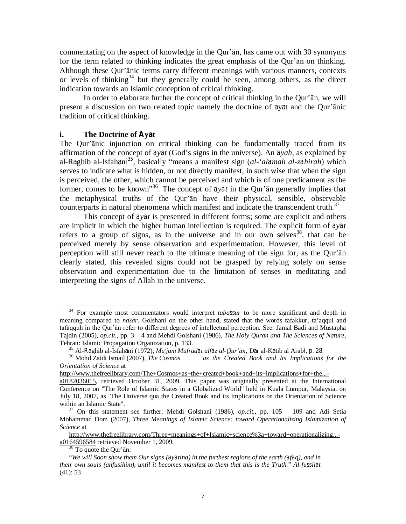commentating on the aspect of knowledge in the Qur'ān, has came out with 30 synonyms for the term related to thinking indicates the great emphasis of the Qur'ān on thinking. Although these Qur'ānic terms carry different meanings with various manners, contexts or levels of thinking<sup>34</sup> but they generally could be seen, among others, as the direct indication towards an Islamic conception of critical thinking.

In order to elaborate further the concept of critical thinking in the Qur'ān, we will present a discussion on two related topic namely the doctrine of ayat and the Qur'ānic tradition of critical thinking.

### **i.** The Doctrine of Ayat

The Qur'ānic injunction on critical thinking can be fundamentally traced from its affirmation of the concept of *ayat* (God's signs in the universe). An *ayah*, as explained by al-Raghib al-Isfahani <sup>35</sup>, basically "means a manifest sign (*al-'alamah al-zahirah*) which serves to indicate what is hidden, or not directly manifest, in such wise that when the sign is perceived, the other, which cannot be perceived and which is of one predicament as the former, comes to be known" <sup>36</sup>. The concept of *ayat* in the Qur'ān generally implies that the metaphysical truths of the Qur'ān have their physical, sensible, observable counterparts in natural phenomena which manifest and indicate the transcendent truth.<sup>37</sup>

This concept of  $a\gamma a t$  is presented in different forms; some are explicit and others are implicit in which the higher human intellection is required. The explicit form of *ayat* refers to a group of signs, as in the universe and in our own selves<sup>38</sup>, that can be perceived merely by sense observation and experimentation. However, this level of perception will still never reach to the ultimate meaning of the sign for, as the Qur'ān clearly stated, this revealed signs could not be grasped by relying solely on sense observation and experimentation due to the limitation of senses in meditating and interpreting the signs of Allah in the universe.

<sup>34</sup> For example most commentators would interpret *tabassur* to be more significant and depth in meaning compared to *nazar*. Golshani on the other hand, stated that the words tafakkur, ta'aqqul and tafaqquh in the Qur'ān refer to different degrees of intellectual perception. See: Jamal Badi and Mustapha Tajdin (2005), *op.cit.*, pp. 3 – 4 and Mehdi Golshani (1986), *The Holy Quran and The Sciences of Nature*, Tehran: Islamic Propagation Organization, p. 133.

<sup>35</sup> Al-Raghib al-Isfahani (1972), *Mu'jam Mufradat alfaz al-Qur'ān*, Dar al-Katib al Arabi, p. 28. <sup>36</sup> Mohd Zaidi Ismail (2007), *The Cosmos as the Created Book and Its Implications for the Orientation of Science* at

http://www.thefreelibrary.com/The+Cosmos+as+the+created+book+and+its+implications+for+the...-

a0182036015, retrieved October 31, 2009. This paper was originally presented at the International Conference on "The Role of Islamic States in a Globalized World" held in Kuala Lumpur, Malaysia, on July 18, 2007, as "The Universe qua the Created Book and its Implications on the Orientation of Science within an Islamic State".

<sup>37</sup> On this statement see further: Mehdi Golshani (1986), *op.cit.*, pp. 105 – 109 and Adi Setia Mohammad Dom (2007), *Three Meanings of Islamic Science: toward Operationalizing Islamization of Science* at

http://www.thefreelibrary.com/Three+meanings+of+Islamic+science%3a+toward+operationalizing... a0164596584 retrieved November 1, 2009.

 $38$  To quote the Our' $\bar{a}$ n:

<sup>&</sup>quot;*We will Soon show them Our signs (ayatina) in the furthest regions of the earth (afaq), and in their own souls (anfusihim), until it becomes manifest to them that this is the Truth.*" *Al-fussilat* (41): 53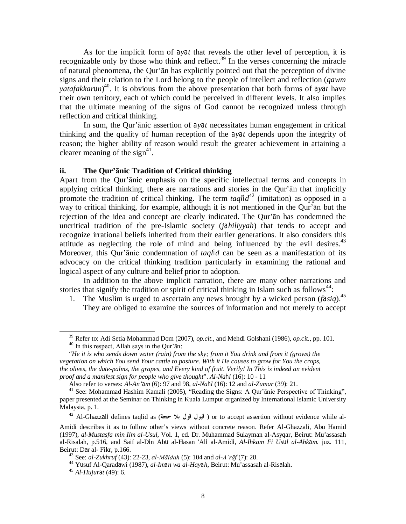As for the implicit form of *ayat* that reveals the other level of perception, it is recognizable only by those who think and reflect.<sup>39</sup> In the verses concerning the miracle of natural phenomena, the Qur'ān has explicitly pointed out that the perception of divine signs and their relation to the Lord belong to the people of intellect and reflection (*qawm yatafakkarun*) <sup>40</sup>. It is obvious from the above presentation that both forms of *ayat* have their own territory, each of which could be perceived in different levels. It also implies that the ultimate meaning of the signs of God cannot be recognized unless through reflection and critical thinking.

In sum, the Qur'ānic assertion of *ayat* necessitates human engagement in critical thinking and the quality of human reception of the *ayat* depends upon the integrity of reason; the higher ability of reason would result the greater achievement in attaining a clearer meaning of the sign<sup>41</sup>.

### **ii. The Qur'ānic Tradition of Critical thinking**

Apart from the Qur'ānic emphasis on the specific intellectual terms and concepts in applying critical thinking, there are narrations and stories in the Qur'ān that implicitly promote the tradition of critical thinking. The term *taqlid* <sup>42</sup> (imitation) as opposed in a way to critical thinking, for example, although it is not mentioned in the Qur'ān but the rejection of the idea and concept are clearly indicated. The Qur'ān has condemned the uncritical tradition of the pre-Islamic society (*jahiliyyah*) that tends to accept and recognize irrational beliefs inherited from their earlier generations. It also considers this attitude as neglecting the role of mind and being influenced by the evil desires. $43$ Moreover, this Qur'ānic condemnation of *taqlid* can be seen as a manifestation of its advocacy on the critical thinking tradition particularly in examining the rational and logical aspect of any culture and belief prior to adoption.

In addition to the above implicit narration, there are many other narrations and stories that signify the tradition or spirit of critical thinking in Islam such as follows<sup>44</sup>:

1. The Muslim is urged to ascertain any news brought by a wicked person (*fasiq*).<sup>45</sup> They are obliged to examine the sources of information and not merely to accept

<sup>39</sup> Refer to: Adi Setia Mohammad Dom (2007), *op.cit.*, and Mehdi Golshani (1986), *op.cit.*, pp. 101.

<sup>40</sup> In this respect, Allah says in the Qur'ān:

<sup>&</sup>quot;*He it is who sends down water (rain) from the sky; from it You drink and from it (grows) the vegetation on which You send Your cattle to pasture. With it He causes to grow for You the crops, the olives, the date-palms, the grapes, and Every kind of fruit. Verily! In This is indeed an evident proof and a manifest sign for people who give thought*". *Al-Nahl* (16): 10 - 11

Also refer to verses: *Al-An'am* (6): 97 and 98, *al-Nahl* (16): 12 and *al-Zumar* (39): 21.

<sup>&</sup>lt;sup>41</sup> See: Mohammad Hashim Kamali (2005), "Reading the Signs: A Qur'anic Perspective of Thinking", paper presented at the Seminar on Thinking in Kuala Lumpur organized by International Islamic University Malaysia, p. 1.

<sup>42</sup> Al-Ghazzali defines taqlid as (**حجة بلا قول قبول** ( or to accept assertion without evidence while al-

Amidi describes it as to follow other's views without concrete reason. Refer Al-Ghazzali, Abu Hamid (1997), *al-Mustasfa min Ilm al-Usul*, Vol. 1, ed. Dr. Muhammad Sulayman al-Asyqar, Beirut: Mu'assasah al-Risalah, p.516, and Saif al-Din Abu al-Hasan 'Ali al-Amidi, *Al-Ihkam Fi Usul al-Ahkam.* juz. 111, Beirut: Dar al- Fikr, p.166.

<sup>43</sup> See: *al-Zukhruf* (43): 22-23, *al-Māidah* (5): 104 and *al-A'rāf* (7): 28.

<sup>44</sup> Yusuf Al-Qaradawi (1987), *al-Iman wa al-Hayah*, Beirut: Mu'assasah al-Risalah.

<sup>45</sup> *Al-Hujurat* (49): 6.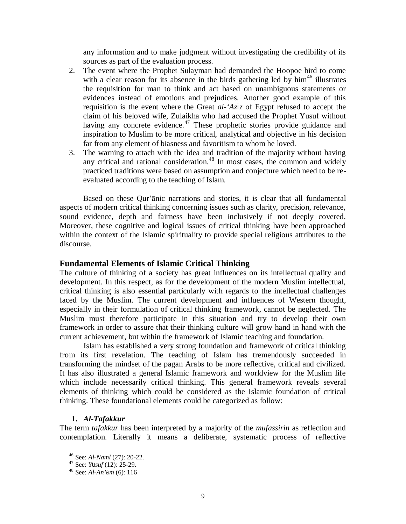any information and to make judgment without investigating the credibility of its sources as part of the evaluation process.

- 2. The event where the Prophet Sulayman had demanded the Hoopoe bird to come with a clear reason for its absence in the birds gathering led by  $\text{him}^{46}$  illustrates the requisition for man to think and act based on unambiguous statements or evidences instead of emotions and prejudices. Another good example of this requisition is the event where the Great *al-'Aziz* of Egypt refused to accept the claim of his beloved wife, Zulaikha who had accused the Prophet Yusuf without having any concrete evidence.<sup>47</sup> These prophetic stories provide guidance and inspiration to Muslim to be more critical, analytical and objective in his decision far from any element of biasness and favoritism to whom he loved.
- 3. The warning to attach with the idea and tradition of the majority without having any critical and rational consideration.<sup>48</sup> In most cases, the common and widely practiced traditions were based on assumption and conjecture which need to be reevaluated according to the teaching of Islam.

Based on these Qur'ānic narrations and stories, it is clear that all fundamental aspects of modern critical thinking concerning issues such as clarity, precision, relevance, sound evidence, depth and fairness have been inclusively if not deeply covered. Moreover, these cognitive and logical issues of critical thinking have been approached within the context of the Islamic spirituality to provide special religious attributes to the discourse.

## **Fundamental Elements of Islamic Critical Thinking**

The culture of thinking of a society has great influences on its intellectual quality and development. In this respect, as for the development of the modern Muslim intellectual, critical thinking is also essential particularly with regards to the intellectual challenges faced by the Muslim. The current development and influences of Western thought, especially in their formulation of critical thinking framework, cannot be neglected. The Muslim must therefore participate in this situation and try to develop their own framework in order to assure that their thinking culture will grow hand in hand with the current achievement, but within the framework of Islamic teaching and foundation.

Islam has established a very strong foundation and framework of critical thinking from its first revelation. The teaching of Islam has tremendously succeeded in transforming the mindset of the pagan Arabs to be more reflective, critical and civilized. It has also illustrated a general Islamic framework and worldview for the Muslim life which include necessarily critical thinking. This general framework reveals several elements of thinking which could be considered as the Islamic foundation of critical thinking. These foundational elements could be categorized as follow:

## **1.** *Al-Tafakkur*

 $\overline{a}$ 

The term *tafakkur* has been interpreted by a majority of the *mufassirin* as reflection and contemplation. Literally it means a deliberate, systematic process of reflective

<sup>46</sup> See: *Al-Naml* (27): 20-22.

<sup>47</sup> See: *Yusuf* (12): 25-29.

<sup>48</sup> See: *Al-An'am* (6): 116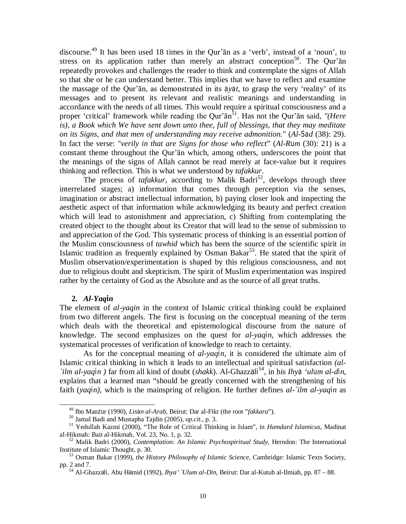discourse.<sup>49</sup> It has been used 18 times in the Qur'ān as a 'verb', instead of a 'noun', to stress on its application rather than merely an abstract conception<sup>50</sup>. The Qur'an repeatedly provokes and challenges the reader to think and contemplate the signs of Allah so that she or he can understand better. This implies that we have to reflect and examine the massage of the Qur'ān, as demonstrated in its *ayat*, to grasp the very 'reality' of its messages and to present its relevant and realistic meanings and understanding in accordance with the needs of all times. This would require a spiritual consciousness and a proper 'critical' framework while reading the Qur'ān<sup>51</sup>. Has not the Qur'ān said, "(*Here is), a Book which We have sent down unto thee, full of blessings, that they may meditate on its Signs, and that men of understanding may receive admonition.*" (*Al-Sad* (38): 29). In fact the verse: "*verily in that are Signs for those who reflect*" (*Al-Rum* (30): 21) is a constant theme throughout the Qur'ān which, among others, underscores the point that the meanings of the signs of Allah cannot be read merely at face-value but it requires thinking and reflection. This is what we understood by *tafakkur*.

The process of  $tafakkur$ , according to Malik Badri<sup>52</sup>, develops through three interrelated stages; a) information that comes through perception via the senses, imagination or abstract intellectual information, b) paying closer look and inspecting the aesthetic aspect of that information while acknowledging its beauty and perfect creation which will lead to astonishment and appreciation, c) Shifting from contemplating the created object to the thought about its Creator that will lead to the sense of submission to and appreciation of the God. This systematic process of thinking is an essential portion of the Muslim consciousness of *tawhid* which has been the source of the scientific spirit in Islamic tradition as frequently explained by Osman Bakar<sup>53</sup>. He stated that the spirit of Muslim observation/experimentation is shaped by this religious consciousness, and not due to religious doubt and skepticism. The spirit of Muslim experimentation was inspired rather by the certainty of God as the Absolute and as the source of all great truths.

### **2.** *Al-Yaqin*

 $\overline{a}$ 

The element of *al-yaqin* in the context of Islamic critical thinking could be explained from two different angels. The first is focusing on the conceptual meaning of the term which deals with the theoretical and epistemological discourse from the nature of knowledge. The second emphasizes on the quest for *al-yaqin,* which addresses the systematical processes of verification of knowledge to reach to certainty.

As for the conceptual meaning of *al-yaqin*, it is considered the ultimate aim of Islamic critical thinking in which it leads to an intellectual and spiritual satisfaction *(al- `ilm al-yaqin )* far from all kind of doubt (*shakk*). Al-Ghazzali 54 , in his *Ihya 'ulum al-din,* explains that a learned man "should be greatly concerned with the strengthening of his faith (*yaqin),* which is the mainspring of religion. He further defines *al-`ilm al-yaqin* as

<sup>49</sup> Ibn Manzur (1990), *Lisan al-Arab*, Beirut: Dar al-Fikr (the root "*fakkara*").

<sup>50</sup> Jamal Badi and Mustapha Tajdin (2005), *op.cit.*, p. 3.

<sup>51</sup> Yedullah Kazmi (2000), "The Role of Critical Thinking in Islam", in *Hamdard Islamicus*, Madinat al-Hikmah: Bait al-Hikmah, Vol. 23, No. 1, p. 32.

<sup>52</sup> Malik Badri (2000), *Contemplation: An Islamic Psychospiritual Study*, Herndon: The International Institute of Islamic Thought, p. 30.

<sup>53</sup> Osman Bakar (1999), *the History Philosophy of Islamic Science*, Cambridge: Islamic Texts Society, pp. 2 and 7.

<sup>54</sup> Al-Ghazzali, Abu Hamid (1992), *Ihya' `Ulum al-Din,* Beirut: Dar al-Kutub al-Ilmiah, pp. 87 – 88.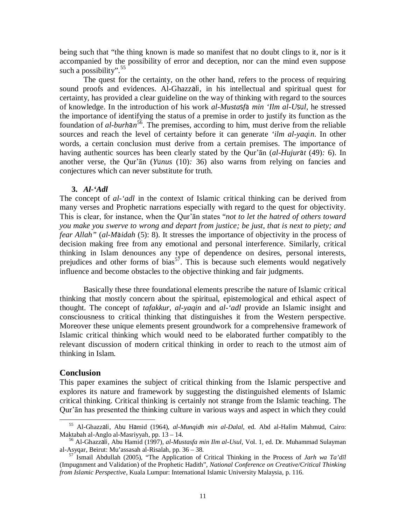being such that "the thing known is made so manifest that no doubt clings to it, nor is it accompanied by the possibility of error and deception, nor can the mind even suppose such a possibility".<sup>55</sup>

The quest for the certainty, on the other hand, refers to the process of requiring sound proofs and evidences. Al-Ghazzali, in his intellectual and spiritual quest for certainty, has provided a clear guideline on the way of thinking with regard to the sources of knowledge. In the introduction of his work *al-Mustasfa min 'Ilm al-Usul*, he stressed the importance of identifying the status of a premise in order to justify its function as the foundation of *al-burhan* <sup>56</sup>. The premises, according to him, must derive from the reliable sources and reach the level of certainty before it can generate *'ilm al-yaqin*. In other words, a certain conclusion must derive from a certain premises. The importance of having authentic sources has been clearly stated by the Qur'ān (*al-Hujurat* (49)*:* 6). In another verse, the Qur'ān (*Yunus* (10)*:* 36) also warns from relying on fancies and conjectures which can never substitute for truth.

### **3.** *Al-'Adl*

The concept of *al-'adl* in the context of Islamic critical thinking can be derived from many verses and Prophetic narrations especially with regard to the quest for objectivity. This is clear, for instance, when the Qur'ān states "*not to let the hatred of others toward you make you swerve to wrong and depart from justice; be just, that is next to piety; and fear Allah"* (*al-Maidah* (5): 8). It stresses the importance of objectivity in the process of decision making free from any emotional and personal interference. Similarly, critical thinking in Islam denounces any type of dependence on desires, personal interests, prejudices and other forms of bias<sup>57</sup>. This is because such elements would negatively influence and become obstacles to the objective thinking and fair judgments.

Basically these three foundational elements prescribe the nature of Islamic critical thinking that mostly concern about the spiritual, epistemological and ethical aspect of thought. The concept of *tafakkur*, *al-yaqin* and *al-'adl* provide an Islamic insight and consciousness to critical thinking that distinguishes it from the Western perspective. Moreover these unique elements present groundwork for a comprehensive framework of Islamic critical thinking which would need to be elaborated further compatibly to the relevant discussion of modern critical thinking in order to reach to the utmost aim of thinking in Islam.

### **Conclusion**

 $\overline{a}$ 

This paper examines the subject of critical thinking from the Islamic perspective and explores its nature and framework by suggesting the distinguished elements of Islamic critical thinking. Critical thinking is certainly not strange from the Islamic teaching. The Qur'ān has presented the thinking culture in various ways and aspect in which they could

<sup>55</sup> Al-Ghazzali, Abu Hamid (1964), *al-Munqidh min al-Dalal,* ed. Abd al-Halim Mahmud, Cairo: Maktabah al-Anglo al-Masriyyah, pp. 13 – 14.

<sup>56</sup> Al-Ghazzali, Abu Hamid (1997), *al-Mustasfa min Ilm al-Usul*, Vol. 1, ed. Dr. Muhammad Sulayman al-Asyqar, Beirut: Mu'assasah al-Risalah, pp. 36 – 38.

<sup>57</sup> Ismail Abdullah (2005), "The Application of Critical Thinking in the Process of *Jarh wa Ta'dīl* (Impugnment and Validation) of the Prophetic Hadith", *National Conference on Creative/Critical Thinking from Islamic Perspective*, Kuala Lumpur: International Islamic University Malaysia, p. 116.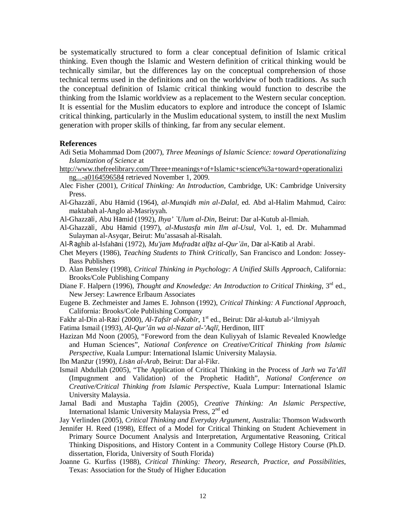be systematically structured to form a clear conceptual definition of Islamic critical thinking. Even though the Islamic and Western definition of critical thinking would be technically similar, but the differences lay on the conceptual comprehension of those technical terms used in the definitions and on the worldview of both traditions. As such the conceptual definition of Islamic critical thinking would function to describe the thinking from the Islamic worldview as a replacement to the Western secular conception. It is essential for the Muslim educators to explore and introduce the concept of Islamic critical thinking, particularly in the Muslim educational system, to instill the next Muslim generation with proper skills of thinking, far from any secular element.

#### **References**

- Adi Setia Mohammad Dom (2007), *Three Meanings of Islamic Science: toward Operationalizing Islamization of Science* at
- http://www.thefreelibrary.com/Three+meanings+of+Islamic+science%3a+toward+operationalizi ng...-a0164596584 retrieved November 1, 2009.
- Alec Fisher (2001), *Critical Thinking: An Introduction,* Cambridge, UK: Cambridge University Press.
- Al-Ghazzali, Abu Hamid (1964), *al-Munqidh min al-Dalal,* ed. Abd al-Halim Mahmud, Cairo: maktabah al-Anglo al-Masriyyah.
- Al-Ghazzali, Abu Hamid (1992), *Ihya' `Ulum al-Din,* Beirut: Dar al-Kutub al-Ilmiah.
- Al-Ghazzali, Abu Hamid (1997), *al-Mustasfa min Ilm al-Usul*, Vol. 1, ed. Dr. Muhammad Sulayman al-Asyqar, Beirut: Mu'assasah al-Risalah.
- Al-Raghib al-Isfahani (1972), *Mu'jam Mufradat alfaz al-Qur'ān*, Dar al-Katib al Arabi.
- Chet Meyers (1986), *Teaching Students to Think Critically*, San Francisco and London: Jossey-Bass Publishers
- D. Alan Bensley (1998), *Critical Thinking in Psychology: A Unified Skills Approach*, California: Brooks/Cole Publishing Company
- Diane F. Halpern (1996), *Thought and Knowledge: An Introduction to Critical Thinking*, 3<sup>rd</sup> ed., New Jersey: Lawrence Erlbaum Associates
- Eugene B. Zechmeister and James E. Johnson (1992), *Critical Thinking: A Functional Approach*, California: Brooks/Cole Publishing Company
- Fakhr al-Din al-Razi (2000), *Al-Tafsīr al-Kabīr*, 1st ed., Beirut: Dār al-kutub al-'ilmiyyah
- Fatima Ismail (1993), *Al-Qur'ān wa al-Nazar al-'Aqlī*, Herdinon, IIIT
- Hazizan Md Noon (2005), "Foreword from the dean Kuliyyah of Islamic Revealed Knowledge and Human Sciences", *National Conference on Creative/Critical Thinking from Islamic Perspective*, Kuala Lumpur: International Islamic University Malaysia.
- Ibn Manzur (1990), *Lisan al-Arab*, Beirut: Dar al-Fikr.
- Ismail Abdullah (2005), "The Application of Critical Thinking in the Process of *Jarh wa Ta'dīl* (Impugnment and Validation) of the Prophetic Hadith", *National Conference on Creative/Critical Thinking from Islamic Perspective*, Kuala Lumpur: International Islamic University Malaysia.
- Jamal Badi and Mustapha Tajdin (2005), *Creative Thinking: An Islamic Perspective*, International Islamic University Malaysia Press, 2<sup>nd</sup> ed
- Jay Verlinden (2005), *Critical Thinking and Everyday Argument*, Australia: Thomson Wadsworth
- Jennifer H. Reed (1998), Effect of a Model for Critical Thinking on Student Achievement in Primary Source Document Analysis and Interpretation, Argumentative Reasoning, Critical Thinking Dispositions, and History Content in a Community College History Course (Ph.D. dissertation, Florida, University of South Florida)
- Joanne G. Kurfiss (1988), *Critical Thinking: Theory, Research, Practice, and Possibilities*, Texas: Association for the Study of Higher Education